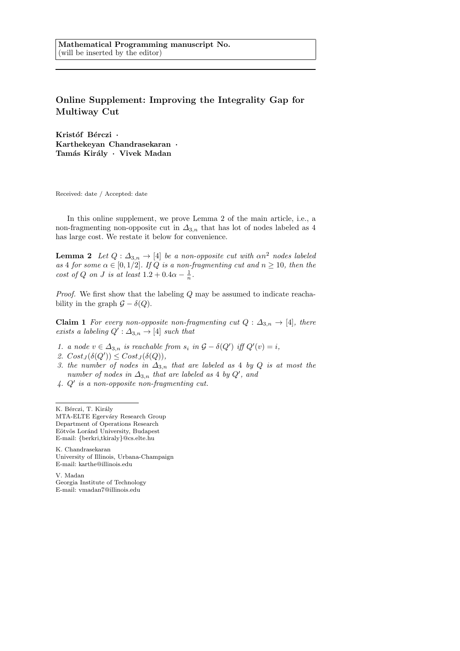## Online Supplement: Improving the Integrality Gap for Multiway Cut

Kristóf Bérczi · Karthekeyan Chandrasekaran · Tamás Király · Vivek Madan

Received: date / Accepted: date

In this online supplement, we prove Lemma 2 of the main article, i.e., a non-fragmenting non-opposite cut in  $\Delta_{3,n}$  that has lot of nodes labeled as 4 has large cost. We restate it below for convenience.

**Lemma 2** Let  $Q: \Delta_{3,n} \to [4]$  be a non-opposite cut with  $\alpha n^2$  nodes labeled as 4 for some  $\alpha \in [0, 1/2]$ . If Q is a non-fragmenting cut and  $n \ge 10$ , then the cost of Q on J is at least  $1.2 + 0.4\alpha - \frac{1}{n}$ .

Proof. We first show that the labeling Q may be assumed to indicate reachability in the graph  $\mathcal{G} - \delta(Q)$ .

**Claim 1** For every non-opposite non-fragmenting cut  $Q: \Delta_{3,n} \to [4]$ , there exists a labeling  $Q': \Delta_{3,n} \to [4]$  such that

- 1. a node  $v \in \Delta_{3,n}$  is reachable from  $s_i$  in  $\mathcal{G} \delta(Q')$  iff  $Q'(v) = i$ ,
- 2.  $Cost_J(\delta(Q')) \leq Cost_J(\delta(Q)),$
- 3. the number of nodes in  $\Delta_{3,n}$  that are labeled as 4 by Q is at most the number of nodes in  $\Delta_{3,n}$  that are labeled as 4 by  $Q'$ , and
- $4. Q'$  is a non-opposite non-fragmenting cut.

K. Bérczi, T. Király MTA-ELTE Egerváry Research Group Department of Operations Research Eötvös Loránd University, Budapest E-mail: {berkri,tkiraly}@cs.elte.hu

K. Chandrasekaran University of Illinois, Urbana-Champaign E-mail: karthe@illinois.edu

V. Madan Georgia Institute of Technology E-mail: vmadan7@illinois.edu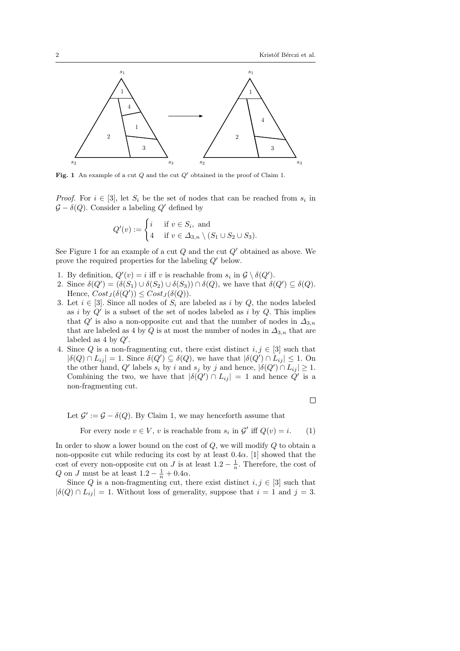

Fig. 1 An example of a cut  $Q$  and the cut  $Q'$  obtained in the proof of Claim 1.

*Proof.* For  $i \in [3]$ , let  $S_i$  be the set of nodes that can be reached from  $s_i$  in  $\mathcal{G} - \delta(Q)$ . Consider a labeling Q' defined by

$$
Q'(v) := \begin{cases} i & \text{if } v \in S_i, \text{ and} \\ 4 & \text{if } v \in \Delta_{3,n} \setminus (S_1 \cup S_2 \cup S_3). \end{cases}
$$

See Figure 1 for an example of a cut  $Q$  and the cut  $Q'$  obtained as above. We prove the required properties for the labeling  $Q'$  below.

- 1. By definition,  $Q'(v) = i$  iff v is reachable from  $s_i$  in  $\mathcal{G} \setminus \delta(Q')$ .
- 2. Since  $\delta(Q') = (\delta(S_1) \cup \delta(S_2) \cup \delta(S_3)) \cap \delta(Q)$ , we have that  $\delta(Q') \subseteq \delta(Q)$ . Hence,  $Cost_J(\delta(Q')) \leq Cost_J(\delta(Q)).$
- 3. Let  $i \in [3]$ . Since all nodes of  $S_i$  are labeled as i by Q, the nodes labeled as i by  $Q'$  is a subset of the set of nodes labeled as i by  $Q$ . This implies that  $Q'$  is also a non-opposite cut and that the number of nodes in  $\Delta_{3,n}$ that are labeled as 4 by  $Q$  is at most the number of nodes in  $\varDelta_{3,n}$  that are labeled as 4 by  $Q'$ .
- 4. Since Q is a non-fragmenting cut, there exist distinct  $i, j \in [3]$  such that  $|\delta(Q) \cap L_{ij}| = 1$ . Since  $\delta(Q') \subseteq \delta(Q)$ , we have that  $|\delta(Q') \cap L_{ij}| \leq 1$ . On the other hand, Q' labels  $s_i$  by i and  $s_j$  by j and hence,  $|\delta(Q') \cap L_{ij}| \geq 1$ . Combining the two, we have that  $|\delta(Q') \cap L_{ij}| = 1$  and hence  $Q'$  is a non-fragmenting cut.

 $\Box$ 

Let  $\mathcal{G}' := \mathcal{G} - \delta(Q)$ . By Claim 1, we may henceforth assume that

For every node  $v \in V$ , v is reachable from  $s_i$  in  $\mathcal{G}'$  iff  $Q(v) = i$ . (1)

In order to show a lower bound on the cost of  $Q$ , we will modify  $Q$  to obtain a non-opposite cut while reducing its cost by at least  $0.4\alpha$ . [1] showed that the cost of every non-opposite cut on J is at least  $1.2 - \frac{1}{n}$ . Therefore, the cost of Q on J must be at least  $1.2 - \frac{1}{n} + 0.4\alpha$ .

Since Q is a non-fragmenting cut, there exist distinct  $i, j \in [3]$  such that  $|\delta(Q) \cap L_{ij}| = 1$ . Without loss of generality, suppose that  $i = 1$  and  $j = 3$ .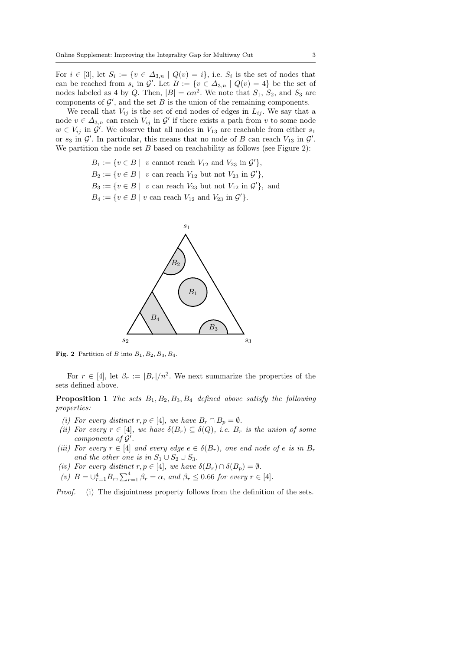For  $i \in [3]$ , let  $S_i := \{v \in \Delta_{3,n} \mid Q(v) = i\}$ , i.e.  $S_i$  is the set of nodes that can be reached from  $s_i$  in  $\mathcal{G}'$ . Let  $B := \{v \in \Delta_{3,n} \mid Q(v) = 4\}$  be the set of nodes labeled as 4 by Q. Then,  $|B| = \alpha n^2$ . We note that  $S_1$ ,  $S_2$ , and  $S_3$  are components of  $\mathcal{G}'$ , and the set B is the union of the remaining components.

We recall that  $V_{ij}$  is the set of end nodes of edges in  $L_{ij}$ . We say that a node  $v \in \Delta_{3,n}$  can reach  $V_{ij}$  in  $\mathcal{G}'$  if there exists a path from v to some node  $w \in V_{ij}$  in  $\mathcal{G}'$ . We observe that all nodes in  $V_{13}$  are reachable from either  $s_1$ or  $s_3$  in  $\mathcal{G}'$ . In particular, this means that no node of B can reach  $V_{13}$  in  $\mathcal{G}'$ . We partition the node set  $B$  based on reachability as follows (see Figure 2):

> $B_1 := \{v \in B \mid v \text{ cannot reach } V_{12} \text{ and } V_{23} \text{ in } \mathcal{G}'\},\$  $B_2 := \{v \in B \mid v \text{ can reach } V_{12} \text{ but not } V_{23} \text{ in } \mathcal{G}'\},\$  $B_3 := \{v \in B \mid v \text{ can reach } V_{23} \text{ but not } V_{12} \text{ in } \mathcal{G}'\},\$ and  $B_4 := \{v \in B \mid v \text{ can reach } V_{12} \text{ and } V_{23} \text{ in } \mathcal{G}'\}.$



Fig. 2 Partition of B into  $B_1$ ,  $B_2$ ,  $B_3$ ,  $B_4$ .

For  $r \in [4]$ , let  $\beta_r := |B_r|/n^2$ . We next summarize the properties of the sets defined above.

**Proposition 1** The sets  $B_1, B_2, B_3, B_4$  defined above satisfy the following properties:

- (i) For every distinct r,  $p \in [4]$ , we have  $B_r \cap B_p = \emptyset$ .
- (ii) For every  $r \in [4]$ , we have  $\delta(B_r) \subseteq \delta(Q)$ , i.e.  $B_r$  is the union of some components of  $\mathcal{G}'$ .
- (iii) For every  $r \in [4]$  and every edge  $e \in \delta(B_r)$ , one end node of e is in  $B_r$ and the other one is in  $S_1 \cup S_2 \cup S_3$ .
- (iv) For every distinct  $r, p \in [4]$ , we have  $\delta(B_r) \cap \delta(B_p) = \emptyset$ .
- (v)  $B = \bigcup_{r=1}^{4} B_r$ ,  $\sum_{r=1}^{4} \beta_r = \alpha$ , and  $\beta_r \leq 0.66$  for every  $r \in [4]$ .

Proof. (i) The disjointness property follows from the definition of the sets.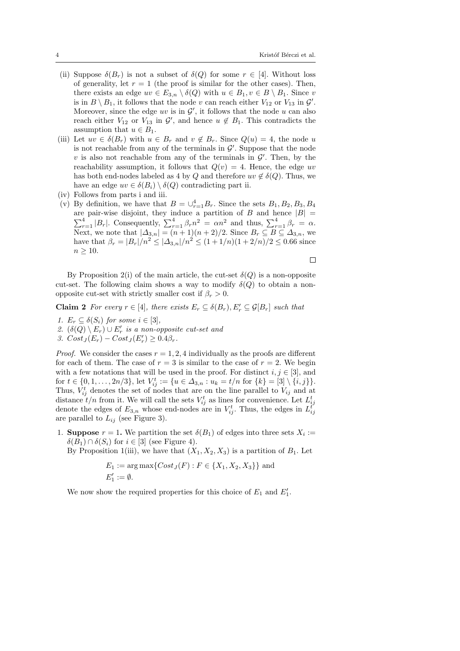- (ii) Suppose  $\delta(B_r)$  is not a subset of  $\delta(Q)$  for some  $r \in [4]$ . Without loss of generality, let  $r = 1$  (the proof is similar for the other cases). Then, there exists an edge  $uv \in E_{3,n} \setminus \delta(Q)$  with  $u \in B_1, v \in B \setminus B_1$ . Since v is in  $B \setminus B_1$ , it follows that the node v can reach either  $V_{12}$  or  $V_{13}$  in  $\mathcal{G}'$ . Moreover, since the edge  $uv$  is in  $\mathcal{G}'$ , it follows that the node u can also reach either  $V_{12}$  or  $V_{13}$  in  $\mathcal{G}'$ , and hence  $u \notin B_1$ . This contradicts the assumption that  $u \in B_1$ .
- (iii) Let  $uv \in \delta(B_r)$  with  $u \in B_r$  and  $v \notin B_r$ . Since  $Q(u) = 4$ , the node u is not reachable from any of the terminals in  $\mathcal{G}'$ . Suppose that the node  $v$  is also not reachable from any of the terminals in  $\mathcal{G}'$ . Then, by the reachability assumption, it follows that  $Q(v) = 4$ . Hence, the edge uv has both end-nodes labeled as 4 by Q and therefore  $uv \notin \delta(Q)$ . Thus, we have an edge  $uv \in \delta(B_i) \setminus \delta(Q)$  contradicting part ii.
- (iv) Follows from parts i and iii.
- (v) By definition, we have that  $B = \bigcup_{r=1}^{4} B_r$ . Since the sets  $B_1, B_2, B_3, B_4$ are pair-wise disjoint, they induce a partition of B and hence  $|B|$  =  $\sum_{r=1}^{4} |B_r|$ . Consequently,  $\sum_{r=1}^{4} \beta_r n^2 = \alpha n^2$  and thus,  $\sum_{r=1}^{4} \beta_r = \alpha$ . Next, we note that  $|\Delta_{3,n}| = (n+1)(n+2)/2$ . Since  $B_r \subseteq B \subseteq \Delta_{3,n}$ , we have that  $\beta_r = |B_r|/n^2 \leq |\Delta_{3,n}|/n^2 \leq (1+1/n)(1+2/n)/2 \leq 0.66$  since  $n > 10$ .

 $\Box$ 

By Proposition 2(i) of the main article, the cut-set  $\delta(Q)$  is a non-opposite cut-set. The following claim shows a way to modify  $\delta(Q)$  to obtain a nonopposite cut-set with strictly smaller cost if  $\beta_r > 0$ .

**Claim 2** For every  $r \in [4]$ , there exists  $E_r \subseteq \delta(B_r)$ ,  $E'_r \subseteq \mathcal{G}[B_r]$  such that

1.  $E_r \subseteq \delta(S_i)$  for some  $i \in [3]$ , 2.  $(\delta(Q) \setminus E_r) \cup E'_r$  is a non-opposite cut-set and 3.  $Cost_J(E_r) - Cost_J(E_r') \geq 0.4\beta_r$ .

*Proof.* We consider the cases  $r = 1, 2, 4$  individually as the proofs are different for each of them. The case of  $r = 3$  is similar to the case of  $r = 2$ . We begin with a few notations that will be used in the proof. For distinct  $i, j \in [3]$ , and for  $t \in \{0, 1, \ldots, 2n/3\}$ , let  $V_{ij}^t := \{u \in \Delta_{3,n} : u_k = t/n$  for  $\{k\} = [3] \setminus \{i, j\}$ . Thus,  $V_{ij}^t$  denotes the set of nodes that are on the line parallel to  $V_{ij}$  and at distance  $t/n$  from it. We will call the sets  $V_{ij}^t$  as lines for convenience. Let  $L_{ij}^t$ denote the edges of  $E_{3,n}$  whose end-nodes are in  $V_{ij}^t$ . Thus, the edges in  $L_{ij}^t$ are parallel to  $L_{ij}$  (see Figure 3).

1. **Suppose**  $r = 1$ . We partition the set  $\delta(B_1)$  of edges into three sets  $X_i :=$  $\delta(B_1) \cap \delta(S_i)$  for  $i \in [3]$  (see Figure 4).

By Proposition 1(iii), we have that  $(X_1, X_2, X_3)$  is a partition of  $B_1$ . Let

$$
E_1 := \arg \max \{ Cost_J(F) : F \in \{X_1, X_2, X_3\} \} \text{ and }
$$
  

$$
E'_1 := \emptyset.
$$

We now show the required properties for this choice of  $E_1$  and  $E_1'$ .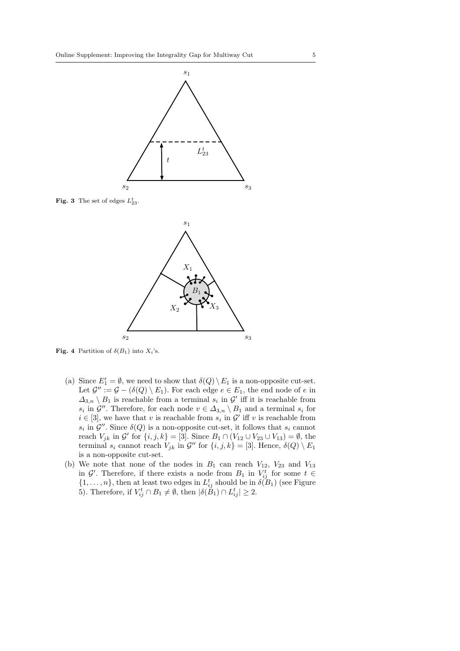

**Fig. 3** The set of edges  $L_{23}^t$ .



**Fig. 4** Partition of  $\delta(B_1)$  into  $X_i$ 's.

- (a) Since  $E_1' = \emptyset$ , we need to show that  $\delta(Q) \setminus E_1$  is a non-opposite cut-set. Let  $\mathcal{G}'' := \mathcal{G} - (\delta(Q) \setminus E_1)$ . For each edge  $e \in E_1$ , the end node of e in  $\Delta_{3,n} \setminus B_1$  is reachable from a terminal  $s_i$  in  $\mathcal{G}'$  iff it is reachable from  $s_i$  in  $\mathcal{G}''$ . Therefore, for each node  $v \in \Delta_{3,n} \setminus B_1$  and a terminal  $s_i$  for  $i \in [3]$ , we have that v is reachable from  $s_i$  in  $\mathcal{G}'$  iff v is reachable from  $s_i$  in  $\mathcal{G}''$ . Since  $\delta(Q)$  is a non-opposite cut-set, it follows that  $s_i$  cannot reach  $V_{jk}$  in  $\mathcal{G}'$  for  $\{i, j, k\} = [3]$ . Since  $B_1 \cap (V_{12} \cup V_{23} \cup V_{13}) = \emptyset$ , the terminal  $s_i$  cannot reach  $V_{jk}$  in  $\mathcal{G}''$  for  $\{i, j, k\} = [3]$ . Hence,  $\delta(Q) \setminus E_1$ is a non-opposite cut-set.
- (b) We note that none of the nodes in  $B_1$  can reach  $V_{12}$ ,  $V_{23}$  and  $V_{13}$ in  $\mathcal{G}'$ . Therefore, if there exists a node from  $B_1$  in  $V_{ij}^t$  for some  $t \in$  $\{1,\ldots,n\}$ , then at least two edges in  $L_{ij}^t$  should be in  $\delta(B_1)$  (see Figure 5). Therefore, if  $V_{ij}^t \cap B_1 \neq \emptyset$ , then  $|\delta(\check{B}_1) \cap L_{ij}^t| \geq 2$ .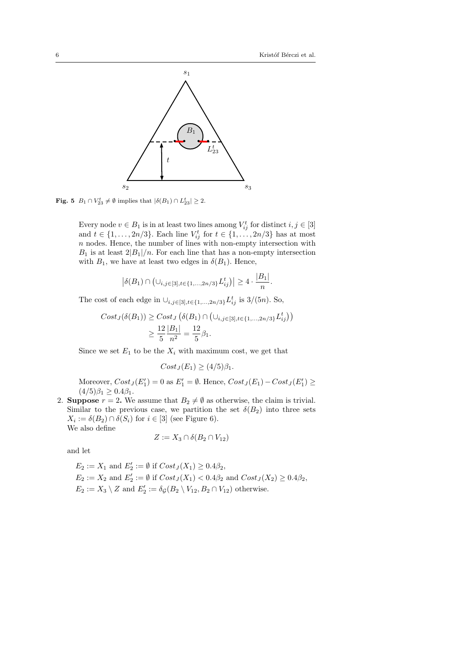

**Fig. 5**  $B_1 \cap V_{23}^t \neq \emptyset$  implies that  $|\delta(B_1) \cap L_{23}^t| \geq 2$ .

Every node  $v \in B_1$  is in at least two lines among  $V_{ij}^t$  for distinct  $i, j \in [3]$ and  $t \in \{1, \ldots, 2n/3\}$ . Each line  $V_{ij}^t$  for  $t \in \{1, \ldots, 2n/3\}$  has at most  $n$  nodes. Hence, the number of lines with non-empty intersection with  $B_1$  is at least  $2|B_1|/n$ . For each line that has a non-empty intersection with  $B_1$ , we have at least two edges in  $\delta(B_1)$ . Hence,

$$
\left| \delta(B_1) \cap \left( \cup_{i,j \in [3], t \in \{1, \dots, 2n/3\}} L_{ij}^t \right) \right| \ge 4 \cdot \frac{|B_1|}{n}.
$$

The cost of each edge in  $\cup_{i,j\in[3],t\in\{1,\dots,2n/3\}} L_{ij}^t$  is 3/(5*n*). So,

$$
Cost_J(\delta(B_1)) \geq Cost_J(\delta(B_1) \cap (\cup_{i,j \in [3], t \in \{1, ..., 2n/3\}} L_{ij}^t))
$$
  

$$
\geq \frac{12}{5} \frac{|B_1|}{n^2} = \frac{12}{5} \beta_1.
$$

Since we set  $E_1$  to be the  $X_i$  with maximum cost, we get that

$$
Cost_J(E_1) \ge (4/5)\beta_1.
$$

Moreover,  $Cost_J(E'_1) = 0$  as  $E'_1 = \emptyset$ . Hence,  $Cost_J(E_1) - Cost_J(E'_1) \ge$  $(4/5)\beta_1 \geq 0.4\beta_1$ .

2. Suppose  $r = 2$ . We assume that  $B_2 \neq \emptyset$  as otherwise, the claim is trivial. Similar to the previous case, we partition the set  $\delta(B_2)$  into three sets  $X_i := \delta(B_2) \cap \delta(S_i)$  for  $i \in [3]$  (see Figure 6). We also define

$$
Z := X_3 \cap \delta(B_2 \cap V_{12})
$$

and let

$$
E_2 := X_1
$$
 and  $E'_2 := \emptyset$  if  $Cost_J(X_1) \ge 0.4\beta_2$ ,  $E_2 := X_2$  and  $E'_2 := \emptyset$  if  $Cost_J(X_1) < 0.4\beta_2$  and  $Cost_J(X_2) \ge 0.4\beta_2$ ,  $E_2 := X_3 \setminus Z$  and  $E'_2 := \delta_{\mathcal{G}}(B_2 \setminus V_{12}, B_2 \cap V_{12})$  otherwise.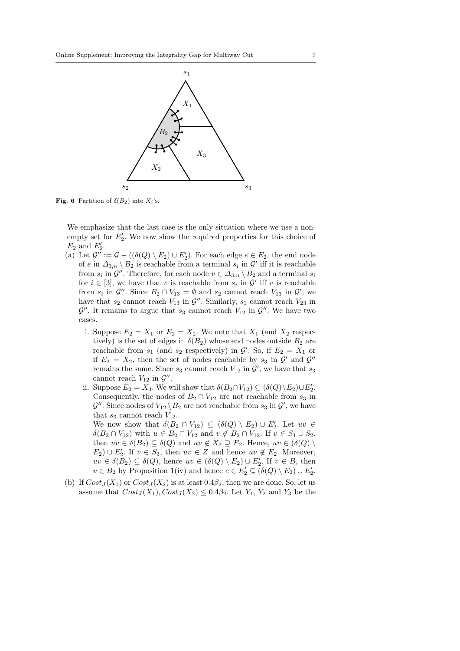

**Fig. 6** Partition of  $\delta(B_2)$  into  $X_i$ 's.

We emphasize that the last case is the only situation where we use a nonempty set for  $E_2'$ . We now show the required properties for this choice of  $E_2$  and  $E'_2$ .

- (a) Let  $\mathcal{G}'' := \mathcal{G} ((\delta(Q) \setminus E_2) \cup E'_2)$ . For each edge  $e \in E_2$ , the end node of e in  $\Delta_{3,n} \setminus B_2$  is reachable from a terminal  $s_i$  in  $\mathcal{G}'$  iff it is reachable from  $s_i$  in  $\mathcal{G}''$ . Therefore, for each node  $v \in \Delta_{3,n} \setminus B_2$  and a terminal  $s_i$ for  $i \in [3]$ , we have that v is reachable from  $s_i$  in  $\mathcal{G}'$  iff v is reachable from  $s_i$  in  $\mathcal{G}''$ . Since  $B_2 \cap V_{13} = \emptyset$  and  $s_2$  cannot reach  $V_{13}$  in  $\mathcal{G}'$ , we have that  $s_2$  cannot reach  $V_{13}$  in  $\mathcal{G}''$ . Similarly,  $s_1$  cannot reach  $V_{23}$  in  $\mathcal{G}''$ . It remains to argue that  $s_3$  cannot reach  $V_{12}$  in  $\mathcal{G}''$ . We have two cases.
	- i. Suppose  $E_2 = X_1$  or  $E_2 = X_2$ . We note that  $X_1$  (and  $X_2$  respectively) is the set of edges in  $\delta(B_2)$  whose end nodes outside  $B_2$  are reachable from  $s_1$  (and  $s_2$  respectively) in  $\mathcal{G}'$ . So, if  $E_2 = X_1$  or if  $E_2 = X_2$ , then the set of nodes reachable by  $s_3$  in  $\mathcal{G}'$  and  $\mathcal{G}''$ remains the same. Since  $s_3$  cannot reach  $V_{12}$  in  $\mathcal{G}'$ , we have that  $s_3$ cannot reach  $V_{12}$  in  $\mathcal{G}''$ .
	- ii. Suppose  $E_2 = X_3$ . We will show that  $\delta(B_2 \cap V_{12}) \subseteq (\delta(Q) \backslash E_2) \cup E'_2$ . Consequently, the nodes of  $B_2 \cap V_{12}$  are not reachable from  $s_3$  in  $\mathcal{G}''$ . Since nodes of  $V_{12} \backslash B_2$  are not reachable from  $s_3$  in  $\mathcal{G}'$ , we have that  $s_3$  cannot reach  $V_{12}$ .

We now show that  $\delta(B_2 \cap V_{12}) \subseteq (\delta(Q) \setminus E_2) \cup E'_2$ . Let  $uv \in$  $\delta(B_2 \cap V_{12})$  with  $u \in B_2 \cap V_{12}$  and  $v \notin B_2 \cap V_{12}$ . If  $v \in S_1 \cup S_2$ , then  $uv \in \delta(B_2) \subseteq \delta(Q)$  and  $uv \notin X_3 \supseteq E_2$ . Hence,  $uv \in (\delta(Q))$  $E_2$ ) ∪  $E'_2$ . If  $v \in S_3$ , then  $uv \in Z$  and hence  $uv \notin E_2$ . Moreover,  $uv \in \delta(B_2) \subseteq \delta(Q)$ , hence  $uv \in (\delta(Q) \setminus E_2) \cup E'_2$ . If  $v \in B$ , then  $v \in B_2$  by Proposition 1(iv) and hence  $e \in E'_2 \subseteq (\delta(Q) \setminus E_2) \cup E'_2$ .

(b) If  $Cost_J(X_1)$  or  $Cost_J(X_2)$  is at least  $0.4\beta_2$ , then we are done. So, let us assume that  $Cost_J(X_1), Cost_J(X_2) \leq 0.4\beta_2$ . Let  $Y_1, Y_2$  and  $Y_3$  be the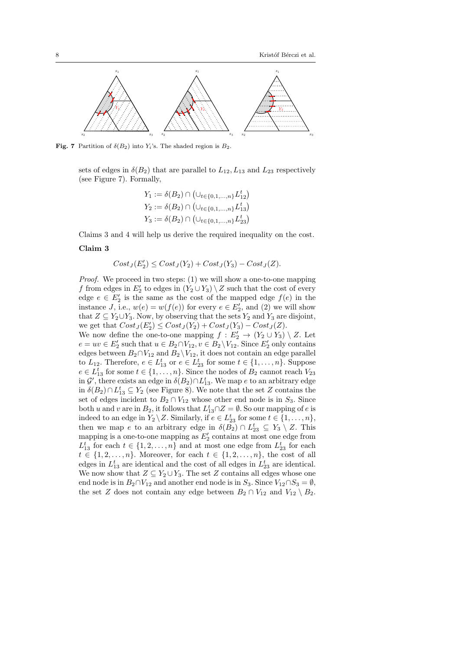

**Fig. 7** Partition of  $\delta(B_2)$  into Y<sub>i</sub>'s. The shaded region is  $B_2$ .

sets of edges in  $\delta(B_2)$  that are parallel to  $L_{12}, L_{13}$  and  $L_{23}$  respectively (see Figure 7). Formally,

$$
Y_1 := \delta(B_2) \cap (\cup_{t \in \{0, 1, ..., n\}} L_{12}^t)
$$
  
\n
$$
Y_2 := \delta(B_2) \cap (\cup_{t \in \{0, 1, ..., n\}} L_{13}^t)
$$
  
\n
$$
Y_3 := \delta(B_2) \cap (\cup_{t \in \{0, 1, ..., n\}} L_{23}^t)
$$

Claims 3 and 4 will help us derive the required inequality on the cost.

## Claim 3

$$
Cost_J(E_2') \le Cost_J(Y_2) + Cost_J(Y_3) - Cost_J(Z).
$$

Proof. We proceed in two steps: (1) we will show a one-to-one mapping f from edges in  $E_2'$  to edges in  $(Y_2 \cup Y_3) \setminus Z$  such that the cost of every edge  $e \in E_2'$  is the same as the cost of the mapped edge  $f(e)$  in the instance J, i.e.,  $w(e) = w(f(e))$  for every  $e \in E'_2$ , and (2) we will show that  $Z \subseteq Y_2 \cup Y_3$ . Now, by observing that the sets  $Y_2$  and  $Y_3$  are disjoint, we get that  $Cost_J(E'_2) \le Cost_J(Y_2) + Cost_J(Y_3) - Cost_J(Z)$ .

We now define the one-to-one mapping  $f: E'_2 \to (Y_2 \cup Y_3) \setminus Z$ . Let  $e = uv \in E'_2$  such that  $u \in B_2 \cap V_{12}, v \in B_2 \setminus V_{12}$ . Since  $E'_2$  only contains edges between  $B_2 \cap V_{12}$  and  $B_2 \setminus V_{12}$ , it does not contain an edge parallel to  $L_{12}$ . Therefore,  $e \in L_{13}^t$  or  $e \in L_{23}^t$  for some  $t \in \{1, ..., n\}$ . Suppose  $e \in L_{13}^t$  for some  $t \in \{1, ..., n\}$ . Since the nodes of  $B_2$  cannot reach  $V_{23}$ in  $\mathcal{G}'$ , there exists an edge in  $\delta(B_2) \cap L_{13}^t$ . We map e to an arbitrary edge in  $\delta(B_2) \cap L_{13}^t \subseteq Y_2$  (see Figure 8). We note that the set Z contains the set of edges incident to  $B_2 \cap V_{12}$  whose other end node is in  $S_3$ . Since both u and v are in  $B_2$ , it follows that  $L_{13}^t \cap Z = \emptyset$ . So our mapping of e is indeed to an edge in  $Y_2 \setminus Z$ . Similarly, if  $e \in L_{23}^t$  for some  $t \in \{1, \ldots, n\}$ , then we map e to an arbitrary edge in  $\delta(B_2) \cap L_{23}^t \subseteq Y_3 \setminus Z$ . This mapping is a one-to-one mapping as  $E_2'$  contains at most one edge from  $L_{13}^t$  for each  $t \in \{1, 2, ..., n\}$  and at most one edge from  $L_{23}^t$  for each  $t \in \{1, 2, \ldots, n\}$ . Moreover, for each  $t \in \{1, 2, \ldots, n\}$ , the cost of all edges in  $L_{13}^t$  are identical and the cost of all edges in  $L_{23}^t$  are identical. We now show that  $Z \subseteq Y_2 \cup Y_3$ . The set Z contains all edges whose one end node is in  $B_2 \cap V_{12}$  and another end node is in  $S_3$ . Since  $V_{12} \cap S_3 = \emptyset$ , the set Z does not contain any edge between  $B_2 \cap V_{12}$  and  $V_{12} \setminus B_2$ .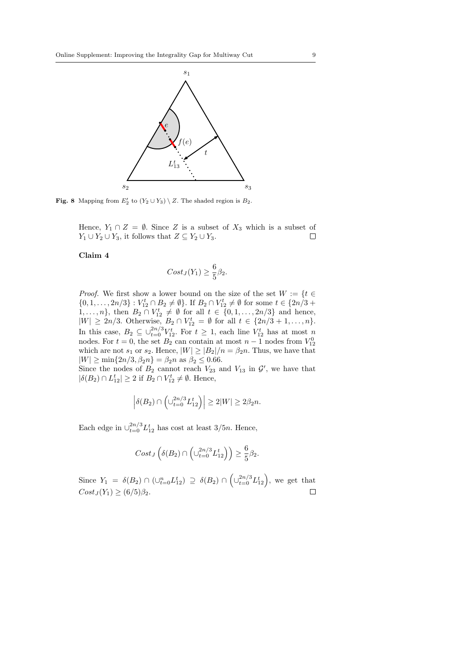

**Fig. 8** Mapping from  $E'_2$  to  $(Y_2 \cup Y_3) \setminus Z$ . The shaded region is  $B_2$ .

Hence,  $Y_1 \cap Z = \emptyset$ . Since Z is a subset of  $X_3$  which is a subset of  $Y_1 \cup Y_2 \cup Y_3$ , it follows that  $Z \subseteq Y_2 \cup Y_3$ .  $\Box$ 

## Claim 4

$$
Cost_J(Y_1) \ge \frac{6}{5}\beta_2.
$$

*Proof.* We first show a lower bound on the size of the set  $W := \{t \in$  $\{0, 1, \ldots, 2n/3\} : V_{12}^t \cap B_2 \neq \emptyset\}$ . If  $B_2 \cap V_{12}^t \neq \emptyset$  for some  $t \in \{2n/3 + \emptyset\}$ 1,..., *n*}, then  $B_2 \cap V_{12}^t \neq \emptyset$  for all  $t \in \{0, 1, ..., 2n/3\}$  and hence,  $|W| \ge 2n/3$ . Otherwise,  $B_2 \cap V_{12}^t = \emptyset$  for all  $t \in \{2n/3 + 1, ..., n\}$ . In this case,  $B_2 \subseteq \bigcup_{t=0}^{2n/3} V_{12}^t$ . For  $t \geq 1$ , each line  $V_{12}^t$  has at most n nodes. For  $t = 0$ , the set  $B_2$  can contain at most  $n - 1$  nodes from  $V_{12}^0$ which are not  $s_1$  or  $s_2$ . Hence,  $|W| \geq |B_2|/n = \beta_2 n$ . Thus, we have that  $|W| \ge \min\{2n/3, \beta_2 n\} = \beta_2 n$  as  $\beta_2 \le 0.66$ .

Since the nodes of  $B_2$  cannot reach  $V_{23}$  and  $V_{13}$  in  $\mathcal{G}'$ , we have that  $|\delta(B_2) \cap L_{12}^t| \geq 2$  if  $B_2 \cap V_{12}^t \neq \emptyset$ . Hence,

$$
\left|\delta(B_2)\cap\left(\cup_{t=0}^{2n/3}L_{12}^t\right)\right|\geq 2|W|\geq 2\beta_2 n.
$$

Each edge in  $\bigcup_{t=0}^{2n/3} L_{12}^t$  has cost at least 3/5*n*. Hence,

$$
Cost_J\left(\delta(B_2)\cap \left(\cup_{t=0}^{2n/3} L_{12}^t\right)\right)\geq \frac{6}{5}\beta_2.
$$

Since  $Y_1 = \delta(B_2) \cap (\cup_{t=0}^n L_{12}^t) \supseteq \delta(B_2) \cap (\cup_{t=0}^{2n/3} L_{12}^t)$ , we get that  $Cost_J(Y_1) \geq (6/5)\beta_2.$  $\Box$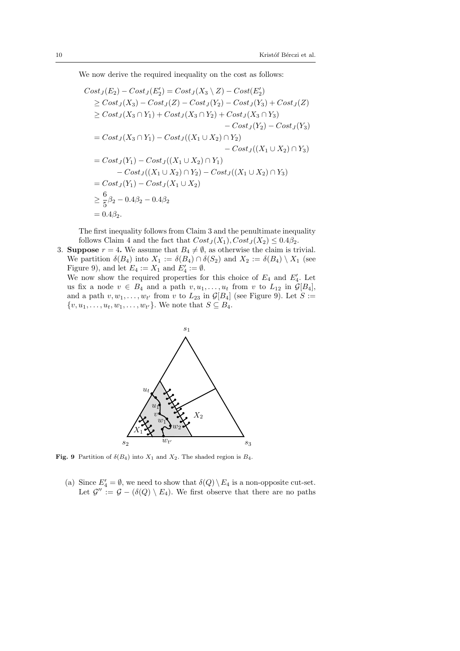We now derive the required inequality on the cost as follows:

$$
Cost_J(E_2) - Cost_J(E'_2) = Cost_J(X_3 \setminus Z) - Cost(E'_2)
$$
  
\n
$$
\ge Cost_J(X_3) - Cost_J(Z) - Cost_J(Y_2) - Cost_J(Y_3) + Cost_J(Z)
$$
  
\n
$$
\ge Cost_J(X_3 \cap Y_1) + Cost_J(X_3 \cap Y_2) + Cost_J(X_3 \cap Y_3)
$$
  
\n
$$
- Cost_J(Y_2) - Cost_J(Y_3)
$$
  
\n
$$
= Cost_J(X_3 \cap Y_1) - Cost_J((X_1 \cup X_2) \cap Y_2)
$$
  
\n
$$
- Cost_J((X_1 \cup X_2) \cap Y_3)
$$
  
\n
$$
= Cost_J(Y_1) - Cost_J((X_1 \cup X_2) \cap Y_1)
$$
  
\n
$$
- Cost_J((X_1 \cup X_2) \cap Y_2) - Cost_J((X_1 \cup X_2) \cap Y_3)
$$
  
\n
$$
= Cost_J(Y_1) - Cost_J(X_1 \cup X_2)
$$
  
\n
$$
\ge \frac{6}{5}\beta_2 - 0.4\beta_2 - 0.4\beta_2
$$
  
\n
$$
= 0.4\beta_2.
$$

The first inequality follows from Claim 3 and the penultimate inequality follows Claim 4 and the fact that  $Cost_J(X_1), Cost_J(X_2) \leq 0.4\beta_2$ .

3. Suppose  $r = 4$ . We assume that  $B_4 \neq \emptyset$ , as otherwise the claim is trivial. We partition  $\delta(B_4)$  into  $X_1 := \delta(B_4) \cap \delta(S_2)$  and  $X_2 := \delta(B_4) \setminus X_1$  (see Figure 9), and let  $E_4 := X_1$  and  $E'_4 := \emptyset$ .

We now show the required properties for this choice of  $E_4$  and  $E'_4$ . Let us fix a node  $v \in B_4$  and a path  $v, u_1, \ldots, u_t$  from v to  $L_{12}$  in  $\mathcal{G}[B_4]$ , and a path  $v, w_1, \ldots, w_{t'}$  from v to  $L_{23}$  in  $\mathcal{G}[B_4]$  (see Figure 9). Let  $S :=$  $\{v, u_1, \ldots, u_t, w_1, \ldots, w_{t'}\}.$  We note that  $S \subseteq B_4$ .



**Fig. 9** Partition of  $\delta(B_4)$  into  $X_1$  and  $X_2$ . The shaded region is  $B_4$ .

(a) Since  $E_4' = \emptyset$ , we need to show that  $\delta(Q) \setminus E_4$  is a non-opposite cut-set. Let  $\mathcal{G}'' := \mathcal{G} - (\delta(Q) \setminus E_4)$ . We first observe that there are no paths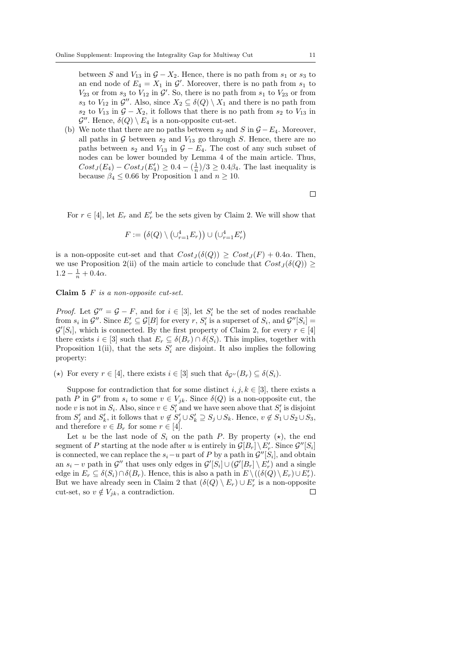between S and  $V_{13}$  in  $\mathcal{G} - X_2$ . Hence, there is no path from  $s_1$  or  $s_3$  to an end node of  $E_4 = X_1$  in  $\mathcal{G}'$ . Moreover, there is no path from  $s_1$  to  $V_{23}$  or from  $s_3$  to  $V_{12}$  in  $\mathcal{G}'$ . So, there is no path from  $s_1$  to  $V_{23}$  or from  $s_3$  to  $V_{12}$  in  $\mathcal{G}''$ . Also, since  $X_2 \subseteq \delta(Q) \setminus X_1$  and there is no path from  $s_2$  to  $V_{13}$  in  $\mathcal{G} - X_2$ , it follows that there is no path from  $s_2$  to  $V_{13}$  in  $\mathcal{G}''$ . Hence,  $\delta(Q) \setminus E_4$  is a non-opposite cut-set.

(b) We note that there are no paths between  $s_2$  and S in  $\mathcal{G} - E_4$ . Moreover, all paths in  $G$  between  $s_2$  and  $V_{13}$  go through S. Hence, there are no paths between  $s_2$  and  $V_{13}$  in  $\mathcal{G} - E_4$ . The cost of any such subset of nodes can be lower bounded by Lemma 4 of the main article. Thus,  $Cost_J(E_4) - Cost_J(E_4') \geq 0.4 - \left(\frac{1}{n}\right)/3 \geq 0.4\beta_4$ . The last inequality is because  $\beta_4 \leq 0.66$  by Proposition 1 and  $n \geq 10$ .

 $\Box$ 

For  $r \in [4]$ , let  $E_r$  and  $E'_r$  be the sets given by Claim 2. We will show that

$$
F := (\delta(Q) \setminus (\cup_{r=1}^4 E_r)) \cup (\cup_{r=1}^4 E'_r)
$$

is a non-opposite cut-set and that  $Cost_J(\delta(Q)) \geq Cost_J(F) + 0.4\alpha$ . Then, we use Proposition 2(ii) of the main article to conclude that  $Cost_J(\delta(Q)) \geq$  $1.2 - \frac{1}{n} + 0.4\alpha.$ 

Claim 5 F is a non-opposite cut-set.

*Proof.* Let  $\mathcal{G}'' = \mathcal{G} - F$ , and for  $i \in [3]$ , let  $S'_i$  be the set of nodes reachable from  $s_i$  in  $\mathcal{G}''$ . Since  $E'_r \subseteq \mathcal{G}[B]$  for every  $r, S'_i$  is a superset of  $S_i$ , and  $\mathcal{G}''[S_i] =$  $\mathcal{G}'[S_i]$ , which is connected. By the first property of Claim 2, for every  $r \in [4]$ there exists  $i \in [3]$  such that  $E_r \subseteq \delta(B_r) \cap \delta(S_i)$ . This implies, together with Proposition 1(ii), that the sets  $S_i'$  are disjoint. It also implies the following property:

(\*) For every  $r \in [4]$ , there exists  $i \in [3]$  such that  $\delta_{\mathcal{G}''}(B_r) \subseteq \delta(S_i)$ .

Suppose for contradiction that for some distinct  $i, j, k \in [3]$ , there exists a path P in  $\mathcal{G}''$  from  $s_i$  to some  $v \in V_{jk}$ . Since  $\delta(Q)$  is a non-opposite cut, the node v is not in  $S_i$ . Also, since  $v \in S'_i$  and we have seen above that  $S'_i$  is disjoint from  $S'_j$  and  $S'_k$ , it follows that  $v \notin S'_j \cup S'_k \supseteq S_j \cup S_k$ . Hence,  $v \notin S_1 \cup S_2 \cup S_3$ , and therefore  $v \in B_r$  for some  $r \in [4]$ .

Let u be the last node of  $S_i$  on the path P. By property  $(\star)$ , the end segment of P starting at the node after u is entirely in  $\mathcal{G}[B_r] \setminus E'_r$ . Since  $\mathcal{G}''[S_i]$ is connected, we can replace the  $s_i-u$  part of P by a path in  $\mathcal{G}''[S_i]$ , and obtain an  $s_i - v$  path in  $\mathcal{G}''$  that uses only edges in  $\mathcal{G}'[S_i] \cup (\mathcal{G}'[B_r] \setminus E'_r)$  and a single edge in  $E_r \subseteq \delta(S_i) \cap \delta(B_r)$ . Hence, this is also a path in  $E \setminus ((\delta(Q) \setminus E_r) \cup E'_r)$ . But we have already seen in Claim 2 that  $(\delta(Q) \setminus E_r) \cup E'_r$  is a non-opposite cut-set, so  $v \notin V_{jk}$ , a contradiction.  $\Box$